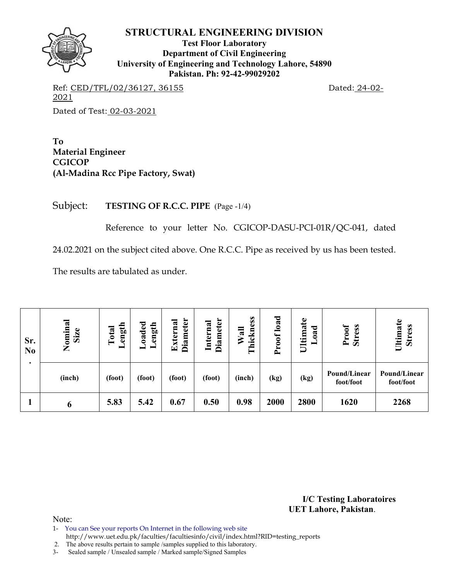**Test Floor Laboratory Department of Civil Engineering University of Engineering and Technology Lahore, 54890 Pakistan. Ph: 92-42-99029202** 

Ref: CED/TFL/02/36127, 36155 Dated: 24-02-2021 Dated of Test: 02-03-2021

**To Material Engineer CGICOP (Al-Madina Rcc Pipe Factory, Swat)** 

Subject: **TESTING OF R.C.C. PIPE** (Page -1/4)

Reference to your letter No. CGICOP-DASU-PCI-01R/QC-041, dated

24.02.2021 on the subject cited above. One R.C.C. Pipe as received by us has been tested.

The results are tabulated as under.

| Sr.<br>N <sub>0</sub> | Nominal<br>Size | ength<br>Total<br>▬ | oaded<br>ength<br>—<br>$\overline{\phantom{0}}$ | <b>Diameter</b><br>External | <b>Diameter</b><br>Internal | ess<br>Wall<br>Thickn | load<br>Proof | Ultimate<br>oad<br>┙ | Proof<br><b>Stress</b>    | Ultimate<br><b>Stress</b> |
|-----------------------|-----------------|---------------------|-------------------------------------------------|-----------------------------|-----------------------------|-----------------------|---------------|----------------------|---------------------------|---------------------------|
|                       | (inch)          | (foot)              | (foot)                                          | (foot)                      | (foot)                      | (inch)                | (kg)          | (kg)                 | Pound/Linear<br>foot/foot | Pound/Linear<br>foot/foot |
|                       | $\mathbf b$     | 5.83                | 5.42                                            | 0.67                        | 0.50                        | 0.98                  | 2000          | 2800                 | 1620                      | 2268                      |

**I/C Testing Laboratoires UET Lahore, Pakistan**.

Note:

1- You can See your reports On Internet in the following web site

http://www.uet.edu.pk/faculties/facultiesinfo/civil/index.html?RID=testing\_reports

2. The above results pertain to sample /samples supplied to this laboratory.

3- Sealed sample / Unsealed sample / Marked sample/Signed Samples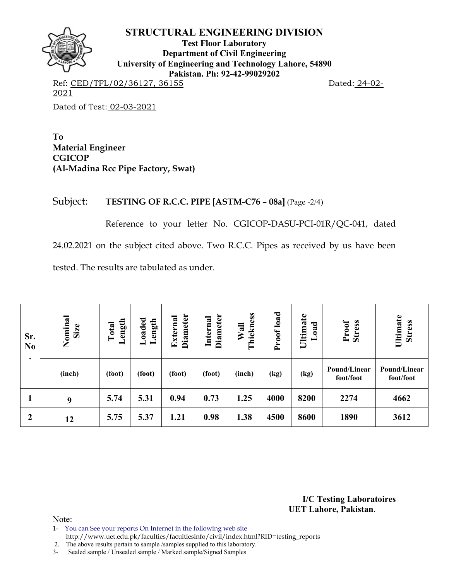

**Test Floor Laboratory Department of Civil Engineering University of Engineering and Technology Lahore, 54890 Pakistan. Ph: 92-42-99029202** 

Ref: CED/TFL/02/36127, 36155 Dated: 24-02-2021 Dated of Test: 02-03-2021

**To Material Engineer CGICOP (Al-Madina Rcc Pipe Factory, Swat)** 

### Subject: **TESTING OF R.C.C. PIPE [ASTM-C76 – 08a]** (Page -2/4)

Reference to your letter No. CGICOP-DASU-PCI-01R/QC-041, dated 24.02.2021 on the subject cited above. Two R.C.C. Pipes as received by us have been tested. The results are tabulated as under.

| Sr.<br>N <sub>0</sub><br>٠ | Nominal<br>Size | ength<br>Total<br>一 | Loaded<br>Length | <b>Diameter</b><br>External | <b>Diameter</b><br>Internal | Thickness<br>Wall | load<br>Proof | Ultimate<br>beo<br>┙ | Proof<br><b>Stress</b>    | Ultimate<br><b>Stress</b> |
|----------------------------|-----------------|---------------------|------------------|-----------------------------|-----------------------------|-------------------|---------------|----------------------|---------------------------|---------------------------|
|                            | (inch)          | (foot)              | (foot)           | (foot)                      | (foot)                      | (inch)            | (kg)          | (kg)                 | Pound/Linear<br>foot/foot | Pound/Linear<br>foot/foot |
|                            | 9               | 5.74                | 5.31             | 0.94                        | 0.73                        | 1.25              | 4000          | 8200                 | 2274                      | 4662                      |
| 2                          | 12              | 5.75                | 5.37             | 1.21                        | 0.98                        | 1.38              | 4500          | 8600                 | 1890                      | 3612                      |

**I/C Testing Laboratoires UET Lahore, Pakistan**.

Note:

1- You can See your reports On Internet in the following web site

 http://www.uet.edu.pk/faculties/facultiesinfo/civil/index.html?RID=testing\_reports 2. The above results pertain to sample /samples supplied to this laboratory.

3- Sealed sample / Unsealed sample / Marked sample/Signed Samples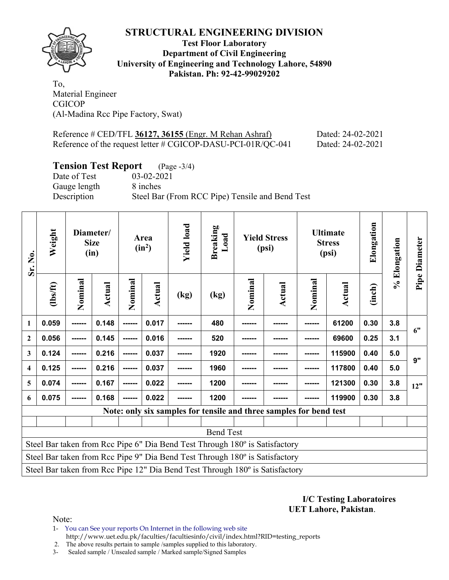

**Test Floor Laboratory Department of Civil Engineering University of Engineering and Technology Lahore, 54890 Pakistan. Ph: 92-42-99029202** 

To, Material Engineer CGICOP (Al-Madina Rcc Pipe Factory, Swat)

| Reference $\#$ CED/TFL 36127, 36155 (Engr. M Rehan Ashraf)   | Dated: 24-02-2021 |
|--------------------------------------------------------------|-------------------|
| Reference of the request letter # CGICOP-DASU-PCI-01R/QC-041 | Dated: 24-02-2021 |

# **Tension Test Report** (Page -3/4)

Gauge length 8 inches

Date of Test 03-02-2021 Description Steel Bar (From RCC Pipe) Tensile and Bend Test

| Sr. No.                                                                     | Weight                                                                       |         | Diameter/<br><b>Size</b><br>(in) | Area<br>$(in^2)$ |        | <b>Yield load</b> | <b>Breaking</b><br>Load | <b>Yield Stress</b><br>(psi) |        | <b>Ultimate</b><br><b>Stress</b><br>(psi) |               | Elongation | % Elongation | Pipe Diameter |
|-----------------------------------------------------------------------------|------------------------------------------------------------------------------|---------|----------------------------------|------------------|--------|-------------------|-------------------------|------------------------------|--------|-------------------------------------------|---------------|------------|--------------|---------------|
|                                                                             | (1bs/ft)                                                                     | Nominal | <b>Actual</b>                    | Nominal          | Actual | (kg)              | (kg)                    | Nominal                      | Actual | Nominal                                   | <b>Actual</b> | (inch)     |              |               |
| $\mathbf{1}$                                                                | 0.059                                                                        | ------  | 0.148                            | ------           | 0.017  |                   | 480                     | ------                       |        | ------                                    | 61200         | 0.30       | 3.8          | 6"            |
| $\boldsymbol{2}$                                                            | 0.056                                                                        |         | 0.145                            | ------           | 0.016  |                   | 520                     |                              |        |                                           | 69600         | 0.25       | 3.1          |               |
| 3                                                                           | 0.124                                                                        | ------- | 0.216                            | ------           | 0.037  |                   | 1920                    | -----                        |        |                                           | 115900        | 0.40       | 5.0          | 9"            |
| $\overline{\mathbf{4}}$                                                     | 0.125                                                                        |         | 0.216                            | ------           | 0.037  |                   | 1960                    |                              |        |                                           | 117800        | 0.40       | 5.0          |               |
| 5                                                                           | 0.074                                                                        | ------  | 0.167                            | ------           | 0.022  |                   | 1200                    |                              |        |                                           | 121300        | 0.30       | 3.8          | 12"           |
| 6                                                                           | 0.075                                                                        | ------  | 0.168                            | ------           | 0.022  |                   | 1200                    |                              |        |                                           | 119900        | 0.30       | 3.8          |               |
|                                                                             | Note: only six samples for tensile and three samples for bend test           |         |                                  |                  |        |                   |                         |                              |        |                                           |               |            |              |               |
|                                                                             |                                                                              |         |                                  |                  |        |                   |                         |                              |        |                                           |               |            |              |               |
| <b>Bend Test</b>                                                            |                                                                              |         |                                  |                  |        |                   |                         |                              |        |                                           |               |            |              |               |
| Steel Bar taken from Rcc Pipe 6" Dia Bend Test Through 180° is Satisfactory |                                                                              |         |                                  |                  |        |                   |                         |                              |        |                                           |               |            |              |               |
|                                                                             | Steel Bar taken from Rcc Pipe 9" Dia Bend Test Through 180° is Satisfactory  |         |                                  |                  |        |                   |                         |                              |        |                                           |               |            |              |               |
|                                                                             | Steel Bar taken from Rcc Pipe 12" Dia Bend Test Through 180° is Satisfactory |         |                                  |                  |        |                   |                         |                              |        |                                           |               |            |              |               |

#### **I/C Testing Laboratoires UET Lahore, Pakistan**.

Note:

1- You can See your reports On Internet in the following web site http://www.uet.edu.pk/faculties/facultiesinfo/civil/index.html?RID=testing\_reports

2. The above results pertain to sample /samples supplied to this laboratory.

3- Sealed sample / Unsealed sample / Marked sample/Signed Samples